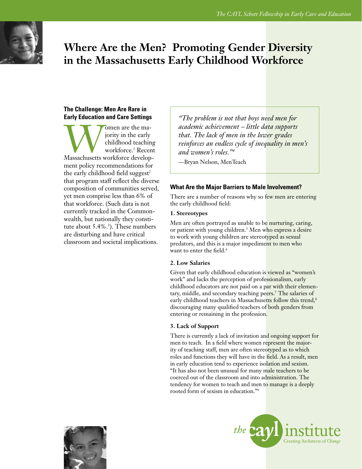

# **Where Are the Men? Promoting Gender Diversity in the Massachusetts Early Childhood Workforce**

# **The Challenge: Men Are Rare in Early Education and Care Settings**

Women are the ma-<br>
jority in the early<br>
childhood teaching<br>
workforce.<sup>1</sup> Recent<br>
Massachusetts workforce developjority in the early childhood teaching workforce.1 Recent ment policy recommendations for the early childhood field suggest<sup>2</sup> that program staff reflect the diverse composition of communities served, yet men comprise less than 6% of that workforce. (Such data is not currently tracked in the Commonwealth, but nationally they constitute about 5.4%.3 ). These numbers are disturbing and have critical classroom and societal implications.

*"The problem is not that boys need men for academic achievement – little data supports that. The lack of men in the lower grades reinforces an endless cycle of inequality in men's and women's roles."4* 

—Bryan Nelson, MenTeach

# **What Are the Major Barriers to Male Involvement?**

There are a number of reasons why so few men are entering the early childhood field:

# **1. Stereotypes**

Men are often portrayed as unable to be nurturing, caring, or patient with young children.<sup>5</sup> Men who express a desire to work with young children are stereotyped as sexual predators, and this is a major impediment to men who want to enter the field.<sup>6</sup>

# **2. Low Salaries**

Given that early childhood education is viewed as "women's work" and lacks the perception of professionalism, early childhood educators are not paid on a par with their elementary, middle, and secondary teaching peers.<sup>7</sup> The salaries of early childhood teachers in Massachusetts follow this trend,<sup>8</sup> discouraging many qualified teachers of both genders from entering or remaining in the profession.

# **3. Lack of Support**

There is currently a lack of invitation and ongoing support for men to teach. In a field where women represent the majority of teaching staff, men are often stereotyped as to which roles and functions they will have in the field. As a result, men in early education tend to experience isolation and sexism. "It has also not been unusual for many male teachers to be coerced out of the classroom and into administration. The tendency for women to teach and men to manage is a deeply rooted form of sexism in education."9



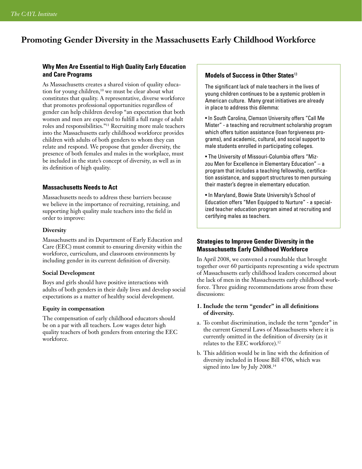# **Promoting Gender Diversity in the Massachusetts Early Childhood Workforce**

# **Why Men Are Essential to High Quality Early Education and Care Programs**

As Massachusetts creates a shared vision of quality education for young children,<sup>10</sup> we must be clear about what constitutes that quality. A representative, diverse workforce that promotes professional opportunities regardless of gender can help children develop "an expectation that both women and men are expected to fulfill a full range of adult roles and responsibilities."11 Recruiting more male teachers into the Massachusetts early childhood workforce provides children with adults of both genders to whom they can relate and respond. We propose that gender diversity, the presence of both females and males in the workplace, must be included in the state's concept of diversity, as well as in its definition of high quality.

### **Massachusetts Needs to Act**

Massachusetts needs to address these barriers because we believe in the importance of recruiting, retaining, and supporting high quality male teachers into the field in order to improve:

#### **Diversity**

Massachusetts and its Department of Early Education and Care (EEC) must commit to ensuring diversity within the workforce, curriculum, and classroom environments by including gender in its current definition of diversity.

#### **Social Development**

Boys and girls should have positive interactions with adults of both genders in their daily lives and develop social expectations as a matter of healthy social development.

#### **Equity in compensation**

The compensation of early childhood educators should be on a par with all teachers. Low wages deter high quality teachers of both genders from entering the EEC workforce.

#### **Models of Success in Other States**<sup>13</sup>

The significant lack of male teachers in the lives of young children continues to be a systemic problem in American culture. Many great initiatives are already in place to address this dilemma:

• In South Carolina, Clemson University offers "Call Me Mister" - a teaching and recruitment scholarship program which offers tuition assistance (loan forgiveness programs), and academic, cultural, and social support to male students enrolled in participating colleges.

• The University of Missouri-Columbia offers "Mizzou Men for Excellence in Elementary Education" – a program that includes a teaching fellowship, certification assistance, and support structures to men pursuing their master's degree in elementary education.

• In Maryland, Bowie State University's School of Education offers "Men Equipped to Nurture" - a specialized teacher education program aimed at recruiting and certifying males as teachers.

# **Strategies to Improve Gender Diversity in the Massachusetts Early Childhood Workforce**

In April 2008, we convened a roundtable that brought together over 60 participants representing a wide spectrum of Massachusetts early childhood leaders concerned about the lack of men in the Massachusetts early childhood workforce. Three guiding recommendations arose from these discussions:

#### **1. Include the term "gender" in all definitions of diversity.**

- a. To combat discrimination, include the term "gender" in the current General Laws of Massachusetts where it is currently omitted in the definition of diversity (as it relates to the EEC workforce).12
- b. This addition would be in line with the definition of diversity included in House Bill 4706, which was signed into law by July 2008.<sup>14</sup>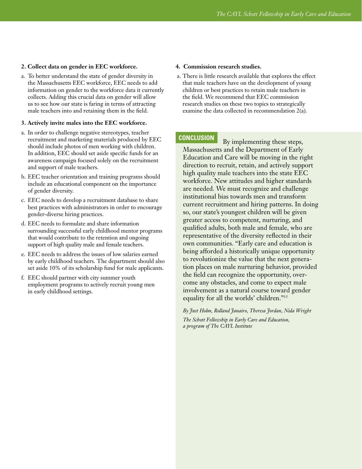#### **2. Collect data on gender in EEC workforce.**

a. To better understand the state of gender diversity in the Massachusetts EEC workforce, EEC needs to add information on gender to the workforce data it currently collects. Adding this crucial data on gender will allow us to see how our state is faring in terms of attracting male teachers into and retaining them in the field.

#### **3. Actively invite males into the EEC workforce.**

- a. In order to challenge negative stereotypes, teacher recruitment and marketing materials produced by EEC should include photos of men working with children. In addition, EEC should set aside specific funds for an awareness campaign focused solely on the recruitment and support of male teachers.
- b. EEC teacher orientation and training programs should include an educational component on the importance of gender diversity.
- c. EEC needs to develop a recruitment database to share best practices with administrators in order to encourage gender-diverse hiring practices.
- d. EEC needs to formulate and share information surrounding successful early childhood mentor programs that would contribute to the retention and ongoing support of high quality male and female teachers.
- e. EEC needs to address the issues of low salaries earned by early childhood teachers. The department should also set aside 10% of its scholarship fund for male applicants.
- f. EEC should partner with city summer youth employment programs to actively recruit young men in early childhood settings.

#### **4. Commission research studies.**

 a. There is little research available that explores the effect that male teachers have on the development of young children or best practices to retain male teachers in the field. We recommend that EEC commission research studies on these two topics to strategically examine the data collected in recommendation 2(a).

# **CONCLUSION**

By implementing these steps, Massachusetts and the Department of Early Education and Care will be moving in the right direction to recruit, retain, and actively support high quality male teachers into the state EEC workforce. New attitudes and higher standards are needed. We must recognize and challenge institutional bias towards men and transform current recruitment and hiring patterns. In doing so, our state's youngest children will be given greater access to competent, nurturing, and qualified adults, both male and female, who are representative of the diversity reflected in their own communities. "Early care and education is being afforded a historically unique opportunity to revolutionize the value that the next generation places on male nurturing behavior, provided the field can recognize the opportunity, overcome any obstacles, and come to expect male involvement as a natural course toward gender equality for all the worlds' children."15

#### *By Just Holm, Rolland Janairo, Theresa Jordan, Nida Wright*

*The Schott Fellowship in Early Care and Education, a program of The CAYL Institute*